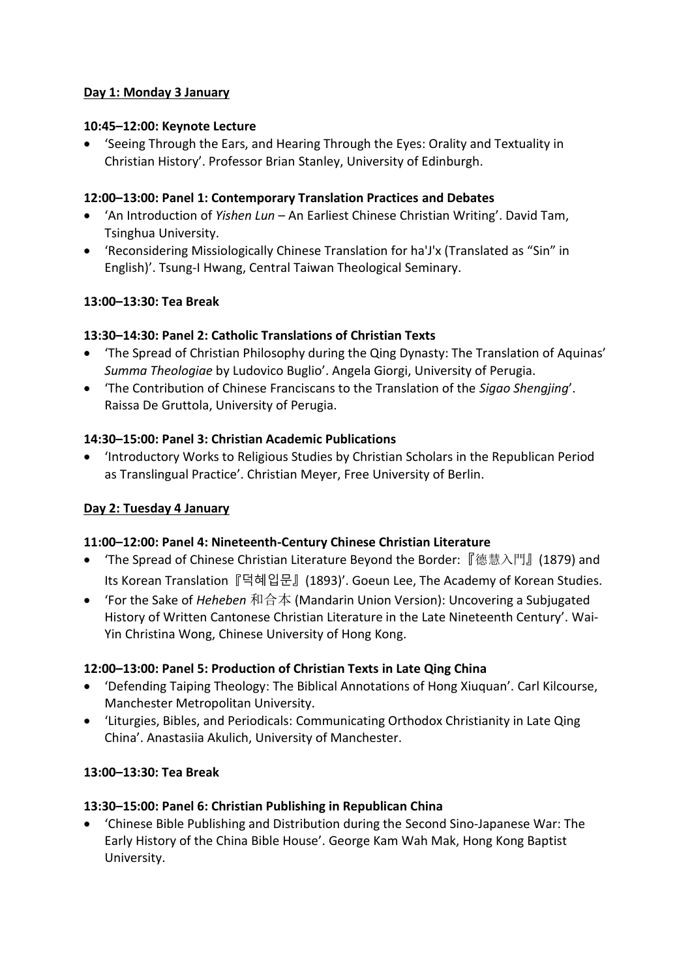# **Day 1: Monday 3 January**

## **10:45–12:00: Keynote Lecture**

• 'Seeing Through the Ears, and Hearing Through the Eyes: Orality and Textuality in Christian History'. Professor Brian Stanley, University of Edinburgh.

#### **12:00–13:00: Panel 1: Contemporary Translation Practices and Debates**

- 'An Introduction of *Yishen Lun* An Earliest Chinese Christian Writing'. David Tam, Tsinghua University.
- 'Reconsidering Missiologically Chinese Translation for ha'J'x (Translated as "Sin" in English)'. Tsung-I Hwang, Central Taiwan Theological Seminary.

## **13:00–13:30: Tea Break**

## **13:30–14:30: Panel 2: Catholic Translations of Christian Texts**

- 'The Spread of Christian Philosophy during the Qing Dynasty: The Translation of Aquinas' *Summa Theologiae* by Ludovico Buglio'. Angela Giorgi, University of Perugia.
- 'The Contribution of Chinese Franciscans to the Translation of the *Sigao Shengjing*'. Raissa De Gruttola, University of Perugia.

## **14:30–15:00: Panel 3: Christian Academic Publications**

• 'Introductory Works to Religious Studies by Christian Scholars in the Republican Period as Translingual Practice'. Christian Meyer, Free University of Berlin.

## **Day 2: Tuesday 4 January**

## **11:00–12:00: Panel 4: Nineteenth-Century Chinese Christian Literature**

- 'The Spread of Chinese Christian Literature Beyond the Border:『德慧入門』(1879) and Its Korean Translation『덕혜입문』(1893)'. Goeun Lee, The Academy of Korean Studies.
- 'For the Sake of *Heheben* 和合本 (Mandarin Union Version): Uncovering a Subjugated History of Written Cantonese Christian Literature in the Late Nineteenth Century'. Wai-Yin Christina Wong, Chinese University of Hong Kong.

## **12:00–13:00: Panel 5: Production of Christian Texts in Late Qing China**

- 'Defending Taiping Theology: The Biblical Annotations of Hong Xiuquan'. Carl Kilcourse, Manchester Metropolitan University.
- 'Liturgies, Bibles, and Periodicals: Communicating Orthodox Christianity in Late Qing China'. Anastasiia Akulich, University of Manchester.

## **13:00–13:30: Tea Break**

#### **13:30–15:00: Panel 6: Christian Publishing in Republican China**

• 'Chinese Bible Publishing and Distribution during the Second Sino-Japanese War: The Early History of the China Bible House'. George Kam Wah Mak, Hong Kong Baptist University.